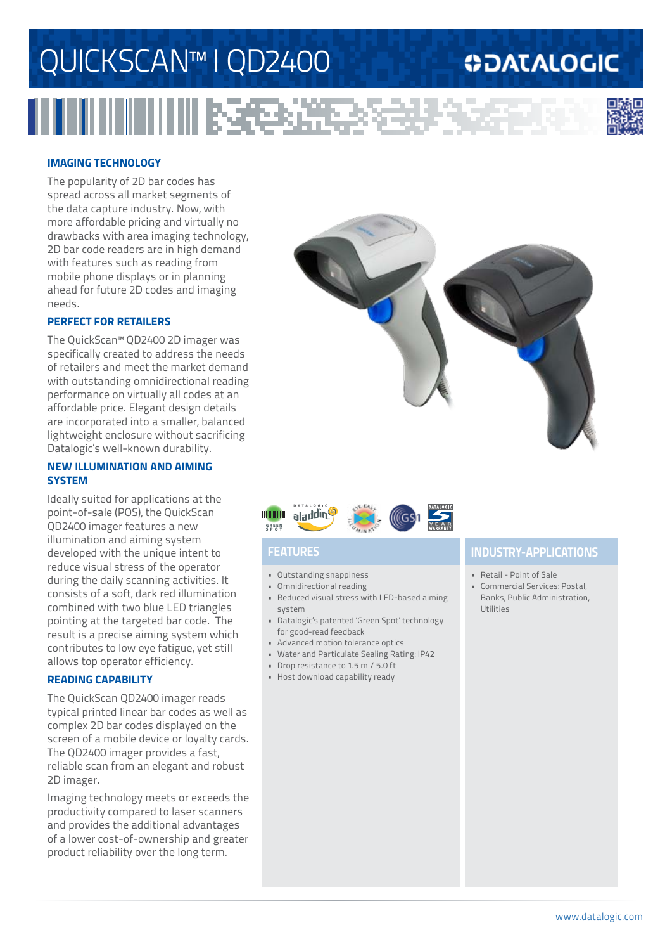# QUICKSCAN™ I QD2400

Вā

## **ODATALOGIC**



## **imaging technology**

The popularity of 2D bar codes has spread across all market segments of the data capture industry. Now, with more affordable pricing and virtually no drawbacks with area imaging technology, 2D bar code readers are in high demand with features such as reading from mobile phone displays or in planning ahead for future 2D codes and imaging needs.

## **PERFECT FOR RETAILERS**

The QuickScan™ QD2400 2D imager was specifically created to address the needs of retailers and meet the market demand with outstanding omnidirectional reading performance on virtually all codes at an affordable price. Elegant design details are incorporated into a smaller, balanced lightweight enclosure without sacrificing Datalogic's well-known durability.

### **new illumination and aiming system**

Ideally suited for applications at the point-of-sale (POS), the QuickScan QD2400 imager features a new illumination and aiming system developed with the unique intent to reduce visual stress of the operator during the daily scanning activities. It consists of a soft, dark red illumination combined with two blue LED triangles pointing at the targeted bar code. The result is a precise aiming system which contributes to low eye fatigue, yet still allows top operator efficiency.

## **reading capability**

The QuickScan QD2400 imager reads typical printed linear bar codes as well as complex 2D bar codes displayed on the screen of a mobile device or loyalty cards. The QD2400 imager provides a fast, reliable scan from an elegant and robust 2D imager.

Imaging technology meets or exceeds the productivity compared to laser scanners and provides the additional advantages of a lower cost-of-ownership and greater product reliability over the long term.





- • Outstanding snappiness
- • Omnidirectional reading
- • Reduced visual stress with LED-based aiming system
- • Datalogic's patented 'Green Spot' technology for good-read feedback
- • Advanced motion tolerance optics
- • Water and Particulate Sealing Rating: IP42
- • Drop resistance to 1.5 m / 5.0 ft
- • Host download capability ready

## **Features industry-applications**

- • Retail Point of Sale
- • Commercial Services: Postal, Banks, Public Administration, Utilities